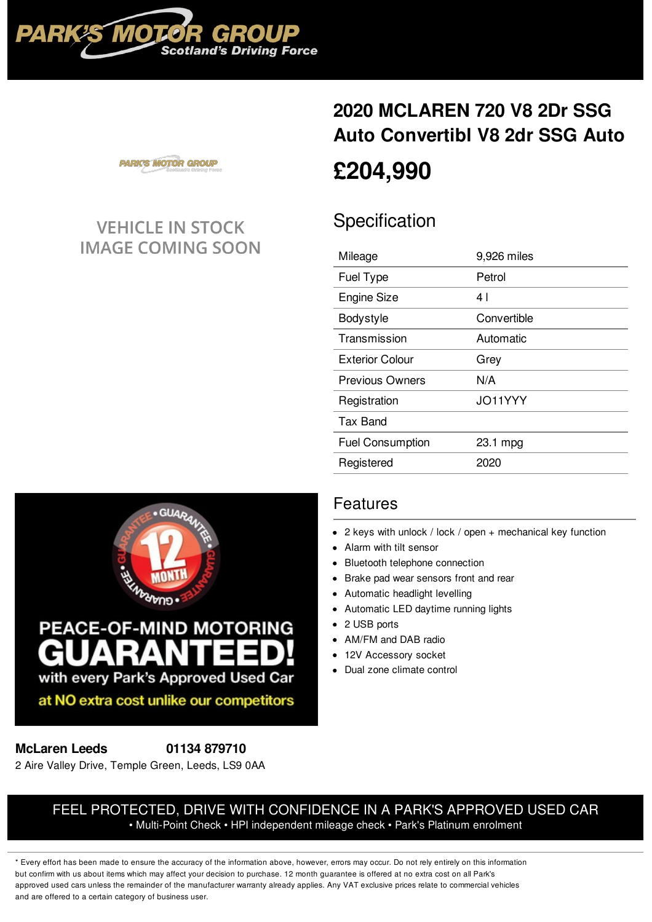

# **2020 [MCLAREN](/mclaren/used-cars/pdf/) 720 V8 2Dr SSG Auto Convertibl V8 2dr SSG Auto [£204,990](/mclaren/used-cars/pdf/)**

**PARK'S MOTOR GROUP** 

## **VEHICLE IN STOCK IMAGE COMING SOON**

## **Specification**

| 9,926 miles |
|-------------|
| Petrol      |
| 4           |
| Convertible |
| Automatic   |
| Grey        |
| N/A         |
| JO11YYY     |
|             |
| 23.1 mpg    |
| 2020        |
|             |



### Features

- 2 keys with unlock / lock / open + mechanical key function
- Alarm with tilt sensor
- Bluetooth telephone connection
- Brake pad wear sensors front and rear
- Automatic headlight levelling
- Automatic LED daytime running lights
- 2 USB ports
- AM/FM and DAB radio
- 12V Accessory socket
- Dual zone climate control

#### **McLaren Leeds 01134 [879710](tel:01134879710)**

2 Aire Valley Drive, Temple Green, Leeds, LS9 0AA

#### FEEL PROTECTED, DRIVE WITH CONFIDENCE IN A PARK'S APPROVED USED CAR • Multi-Point Check • HPI independent mileage check • Park's Platinum enrolment

\* Every effort has been made to ensure the accuracy of the information above, however, errors may occur. Do not rely entirely on this information but confirm with us about items which may affect your decision to purchase. 12 month guarantee is offered at no extra cost on all Park's approved used cars unless the remainder of the manufacturer warranty already applies. Any VAT exclusive prices relate to commercial vehicles and are offered to a certain category of business user.